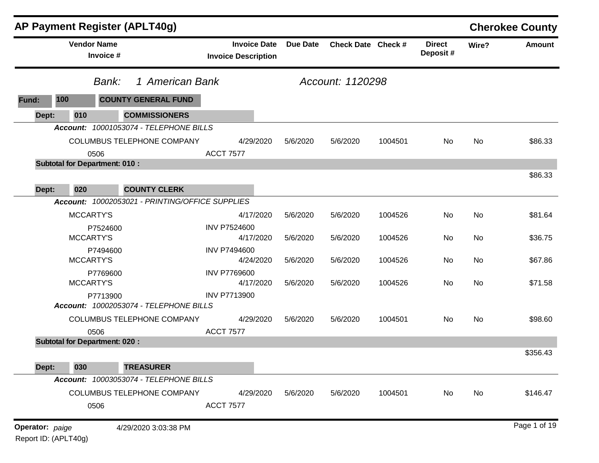|                 |                    | <b>AP Payment Register (APLT40g)</b>               |                                                   |                 |                    |         |                           |       | <b>Cherokee County</b> |
|-----------------|--------------------|----------------------------------------------------|---------------------------------------------------|-----------------|--------------------|---------|---------------------------|-------|------------------------|
|                 | <b>Vendor Name</b> | Invoice #                                          | <b>Invoice Date</b><br><b>Invoice Description</b> | <b>Due Date</b> | Check Date Check # |         | <b>Direct</b><br>Deposit# | Wire? | Amount                 |
|                 |                    | 1 American Bank<br>Bank:                           |                                                   |                 | Account: 1120298   |         |                           |       |                        |
| 100<br>Fund:    |                    | <b>COUNTY GENERAL FUND</b>                         |                                                   |                 |                    |         |                           |       |                        |
| Dept:           | 010                | <b>COMMISSIONERS</b>                               |                                                   |                 |                    |         |                           |       |                        |
|                 |                    | Account: 10001053074 - TELEPHONE BILLS             |                                                   |                 |                    |         |                           |       |                        |
|                 |                    | COLUMBUS TELEPHONE COMPANY<br>0506                 | 4/29/2020<br><b>ACCT 7577</b>                     | 5/6/2020        | 5/6/2020           | 1004501 | No                        | No    | \$86.33                |
|                 |                    | <b>Subtotal for Department: 010:</b>               |                                                   |                 |                    |         |                           |       |                        |
|                 |                    |                                                    |                                                   |                 |                    |         |                           |       | \$86.33                |
| Dept:           | 020                | <b>COUNTY CLERK</b>                                |                                                   |                 |                    |         |                           |       |                        |
|                 |                    | Account: 10002053021 - PRINTING/OFFICE SUPPLIES    |                                                   |                 |                    |         |                           |       |                        |
|                 | <b>MCCARTY'S</b>   |                                                    | 4/17/2020                                         | 5/6/2020        | 5/6/2020           | 1004526 | No                        | No    | \$81.64                |
|                 | <b>MCCARTY'S</b>   | P7524600                                           | <b>INV P7524600</b><br>4/17/2020                  | 5/6/2020        | 5/6/2020           | 1004526 | No                        | No    | \$36.75                |
|                 | MCCARTY'S          | P7494600                                           | <b>INV P7494600</b><br>4/24/2020                  | 5/6/2020        | 5/6/2020           | 1004526 | No                        | No    | \$67.86                |
|                 |                    | P7769600                                           | <b>INV P7769600</b>                               |                 |                    |         |                           |       |                        |
|                 | <b>MCCARTY'S</b>   |                                                    | 4/17/2020                                         | 5/6/2020        | 5/6/2020           | 1004526 | No                        | No    | \$71.58                |
|                 |                    | P7713900<br>Account: 10002053074 - TELEPHONE BILLS | <b>INV P7713900</b>                               |                 |                    |         |                           |       |                        |
|                 |                    | COLUMBUS TELEPHONE COMPANY                         | 4/29/2020                                         | 5/6/2020        | 5/6/2020           | 1004501 | No                        | No    | \$98.60                |
|                 |                    | 0506                                               | <b>ACCT 7577</b>                                  |                 |                    |         |                           |       |                        |
|                 |                    | <b>Subtotal for Department: 020:</b>               |                                                   |                 |                    |         |                           |       | \$356.43               |
| Dept:           | 030                | <b>TREASURER</b>                                   |                                                   |                 |                    |         |                           |       |                        |
|                 |                    | Account: 10003053074 - TELEPHONE BILLS             |                                                   |                 |                    |         |                           |       |                        |
|                 |                    | COLUMBUS TELEPHONE COMPANY                         | 4/29/2020                                         | 5/6/2020        | 5/6/2020           | 1004501 | No                        | No    | \$146.47               |
|                 |                    | 0506                                               | <b>ACCT 7577</b>                                  |                 |                    |         |                           |       |                        |
| Operator: paige |                    | 4/29/2020 3:03:38 PM                               |                                                   |                 |                    |         |                           |       | Page 1 of 19           |

Report ID: (APLT40g)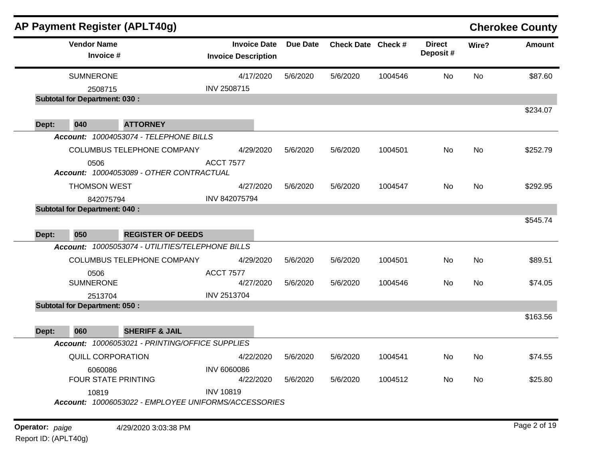|       |                                      | <b>AP Payment Register (APLT40g)</b>                 |                                                   |                 |                    |         |                           |           | <b>Cherokee County</b> |
|-------|--------------------------------------|------------------------------------------------------|---------------------------------------------------|-----------------|--------------------|---------|---------------------------|-----------|------------------------|
|       | <b>Vendor Name</b><br>Invoice #      |                                                      | <b>Invoice Date</b><br><b>Invoice Description</b> | <b>Due Date</b> | Check Date Check # |         | <b>Direct</b><br>Deposit# | Wire?     | <b>Amount</b>          |
|       | <b>SUMNERONE</b>                     |                                                      | 4/17/2020                                         | 5/6/2020        | 5/6/2020           | 1004546 | No                        | No        | \$87.60                |
|       | 2508715                              |                                                      | INV 2508715                                       |                 |                    |         |                           |           |                        |
|       | <b>Subtotal for Department: 030:</b> |                                                      |                                                   |                 |                    |         |                           |           | \$234.07               |
| Dept: | 040                                  | <b>ATTORNEY</b>                                      |                                                   |                 |                    |         |                           |           |                        |
|       |                                      | Account: 10004053074 - TELEPHONE BILLS               |                                                   |                 |                    |         |                           |           |                        |
|       |                                      | COLUMBUS TELEPHONE COMPANY                           | 4/29/2020                                         | 5/6/2020        | 5/6/2020           | 1004501 | No                        | No        | \$252.79               |
|       | 0506                                 |                                                      | <b>ACCT 7577</b>                                  |                 |                    |         |                           |           |                        |
|       |                                      | Account: 10004053089 - OTHER CONTRACTUAL             |                                                   |                 |                    |         |                           |           |                        |
|       | <b>THOMSON WEST</b>                  |                                                      | 4/27/2020                                         | 5/6/2020        | 5/6/2020           | 1004547 | No                        | No        | \$292.95               |
|       | 842075794                            |                                                      | INV 842075794                                     |                 |                    |         |                           |           |                        |
|       | <b>Subtotal for Department: 040:</b> |                                                      |                                                   |                 |                    |         |                           |           |                        |
|       |                                      |                                                      |                                                   |                 |                    |         |                           |           | \$545.74               |
| Dept: | 050                                  | <b>REGISTER OF DEEDS</b>                             |                                                   |                 |                    |         |                           |           |                        |
|       |                                      | Account: 10005053074 - UTILITIES/TELEPHONE BILLS     |                                                   |                 |                    |         |                           |           |                        |
|       |                                      | COLUMBUS TELEPHONE COMPANY                           | 4/29/2020                                         | 5/6/2020        | 5/6/2020           | 1004501 | No                        | <b>No</b> | \$89.51                |
|       | 0506                                 |                                                      | <b>ACCT 7577</b>                                  |                 |                    |         |                           |           |                        |
|       | <b>SUMNERONE</b>                     |                                                      | 4/27/2020                                         | 5/6/2020        | 5/6/2020           | 1004546 | No.                       | No        | \$74.05                |
|       | 2513704                              |                                                      | <b>INV 2513704</b>                                |                 |                    |         |                           |           |                        |
|       | <b>Subtotal for Department: 050:</b> |                                                      |                                                   |                 |                    |         |                           |           |                        |
|       |                                      |                                                      |                                                   |                 |                    |         |                           |           | \$163.56               |
| Dept: | 060                                  | <b>SHERIFF &amp; JAIL</b>                            |                                                   |                 |                    |         |                           |           |                        |
|       |                                      | Account: 10006053021 - PRINTING/OFFICE SUPPLIES      |                                                   |                 |                    |         |                           |           |                        |
|       | <b>QUILL CORPORATION</b>             |                                                      | 4/22/2020                                         | 5/6/2020        | 5/6/2020           | 1004541 | No                        | <b>No</b> | \$74.55                |
|       | 6060086                              |                                                      | <b>INV 6060086</b>                                |                 |                    |         |                           |           |                        |
|       | FOUR STATE PRINTING                  |                                                      | 4/22/2020                                         | 5/6/2020        | 5/6/2020           | 1004512 | No.                       | <b>No</b> | \$25.80                |
|       | 10819                                |                                                      | <b>INV 10819</b>                                  |                 |                    |         |                           |           |                        |
|       |                                      | Account: 10006053022 - EMPLOYEE UNIFORMS/ACCESSORIES |                                                   |                 |                    |         |                           |           |                        |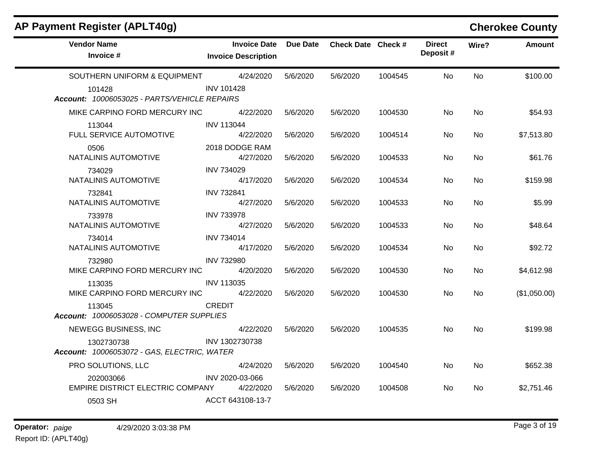| <b>AP Payment Register (APLT40g)</b>                      |                                                   |          |                    |         |                           |           | <b>Cherokee County</b> |
|-----------------------------------------------------------|---------------------------------------------------|----------|--------------------|---------|---------------------------|-----------|------------------------|
| <b>Vendor Name</b><br>Invoice #                           | <b>Invoice Date</b><br><b>Invoice Description</b> | Due Date | Check Date Check # |         | <b>Direct</b><br>Deposit# | Wire?     | <b>Amount</b>          |
| SOUTHERN UNIFORM & EQUIPMENT                              | 4/24/2020                                         | 5/6/2020 | 5/6/2020           | 1004545 | No.                       | <b>No</b> | \$100.00               |
| 101428<br>Account: 10006053025 - PARTS/VEHICLE REPAIRS    | <b>INV 101428</b>                                 |          |                    |         |                           |           |                        |
| MIKE CARPINO FORD MERCURY INC                             | 4/22/2020                                         | 5/6/2020 | 5/6/2020           | 1004530 | No.                       | No.       | \$54.93                |
| 113044<br>FULL SERVICE AUTOMOTIVE                         | <b>INV 113044</b><br>4/22/2020                    | 5/6/2020 | 5/6/2020           | 1004514 | No.                       | No.       | \$7,513.80             |
| 0506<br>NATALINIS AUTOMOTIVE                              | 2018 DODGE RAM<br>4/27/2020                       | 5/6/2020 | 5/6/2020           | 1004533 | No                        | No        | \$61.76                |
| 734029<br>NATALINIS AUTOMOTIVE                            | <b>INV 734029</b><br>4/17/2020                    | 5/6/2020 | 5/6/2020           | 1004534 | No.                       | <b>No</b> | \$159.98               |
| 732841<br>NATALINIS AUTOMOTIVE                            | <b>INV 732841</b><br>4/27/2020                    | 5/6/2020 | 5/6/2020           | 1004533 | No.                       | No.       | \$5.99                 |
| 733978<br>NATALINIS AUTOMOTIVE                            | <b>INV 733978</b><br>4/27/2020                    | 5/6/2020 | 5/6/2020           | 1004533 | No.                       | No.       | \$48.64                |
| 734014<br>NATALINIS AUTOMOTIVE                            | <b>INV 734014</b><br>4/17/2020                    | 5/6/2020 | 5/6/2020           | 1004534 | No                        | No        | \$92.72                |
| 732980<br>MIKE CARPINO FORD MERCURY INC                   | <b>INV 732980</b><br>4/20/2020                    | 5/6/2020 | 5/6/2020           | 1004530 | No.                       | No.       | \$4,612.98             |
| 113035<br>MIKE CARPINO FORD MERCURY INC                   | INV 113035<br>4/22/2020                           | 5/6/2020 | 5/6/2020           | 1004530 | No.                       | No.       | (\$1,050.00)           |
| 113045<br>Account: 10006053028 - COMPUTER SUPPLIES        | <b>CREDIT</b>                                     |          |                    |         |                           |           |                        |
| NEWEGG BUSINESS, INC                                      | 4/22/2020                                         | 5/6/2020 | 5/6/2020           | 1004535 | No.                       | No.       | \$199.98               |
| 1302730738<br>Account: 10006053072 - GAS, ELECTRIC, WATER | INV 1302730738                                    |          |                    |         |                           |           |                        |
| PRO SOLUTIONS, LLC                                        | 4/24/2020                                         | 5/6/2020 | 5/6/2020           | 1004540 | No.                       | No.       | \$652.38               |
| 202003066<br>EMPIRE DISTRICT ELECTRIC COMPANY             | INV 2020-03-066<br>4/22/2020                      | 5/6/2020 | 5/6/2020           | 1004508 | No.                       | No.       | \$2,751.46             |
| 0503 SH                                                   | ACCT 643108-13-7                                  |          |                    |         |                           |           |                        |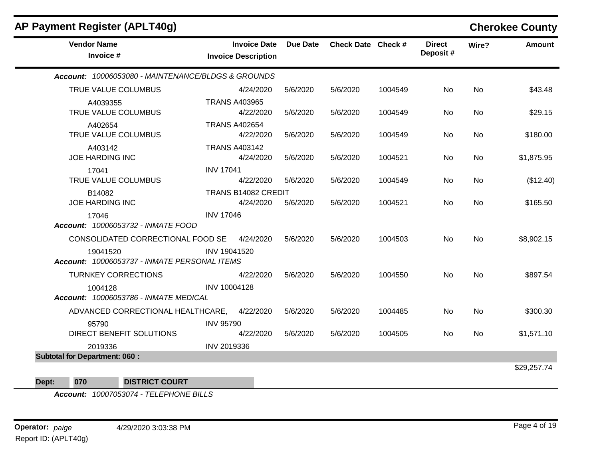| AP Payment Register (APLT40g)                            |                            |                     |                 |                    |         |                           |           | <b>Cherokee County</b> |
|----------------------------------------------------------|----------------------------|---------------------|-----------------|--------------------|---------|---------------------------|-----------|------------------------|
| <b>Vendor Name</b><br>Invoice #                          | <b>Invoice Description</b> | <b>Invoice Date</b> | <b>Due Date</b> | Check Date Check # |         | <b>Direct</b><br>Deposit# | Wire?     | <b>Amount</b>          |
| Account: 10006053080 - MAINTENANCE/BLDGS & GROUNDS       |                            |                     |                 |                    |         |                           |           |                        |
| TRUE VALUE COLUMBUS                                      |                            | 4/24/2020           | 5/6/2020        | 5/6/2020           | 1004549 | <b>No</b>                 | <b>No</b> | \$43.48                |
| A4039355<br>TRUE VALUE COLUMBUS                          | <b>TRANS A403965</b>       | 4/22/2020           | 5/6/2020        | 5/6/2020           | 1004549 | No                        | <b>No</b> | \$29.15                |
| A402654<br>TRUE VALUE COLUMBUS                           | <b>TRANS A402654</b>       | 4/22/2020           | 5/6/2020        | 5/6/2020           | 1004549 | <b>No</b>                 | <b>No</b> | \$180.00               |
| A403142<br><b>JOE HARDING INC</b>                        | <b>TRANS A403142</b>       | 4/24/2020           | 5/6/2020        | 5/6/2020           | 1004521 | No                        | <b>No</b> | \$1,875.95             |
| 17041<br>TRUE VALUE COLUMBUS                             | <b>INV 17041</b>           | 4/22/2020           | 5/6/2020        | 5/6/2020           | 1004549 | No                        | <b>No</b> | (\$12.40)              |
| B14082<br><b>JOE HARDING INC</b>                         | TRANS B14082 CREDIT        | 4/24/2020           | 5/6/2020        | 5/6/2020           | 1004521 | No                        | <b>No</b> | \$165.50               |
| 17046<br>Account: 10006053732 - INMATE FOOD              | <b>INV 17046</b>           |                     |                 |                    |         |                           |           |                        |
| CONSOLIDATED CORRECTIONAL FOOD SE                        |                            | 4/24/2020           | 5/6/2020        | 5/6/2020           | 1004503 | <b>No</b>                 | <b>No</b> | \$8,902.15             |
| 19041520<br>Account: 10006053737 - INMATE PERSONAL ITEMS | INV 19041520               |                     |                 |                    |         |                           |           |                        |
| <b>TURNKEY CORRECTIONS</b>                               |                            | 4/22/2020           | 5/6/2020        | 5/6/2020           | 1004550 | <b>No</b>                 | <b>No</b> | \$897.54               |
| 1004128<br><b>Account: 10006053786 - INMATE MEDICAL</b>  | INV 10004128               |                     |                 |                    |         |                           |           |                        |
| ADVANCED CORRECTIONAL HEALTHCARE,                        |                            | 4/22/2020           | 5/6/2020        | 5/6/2020           | 1004485 | <b>No</b>                 | <b>No</b> | \$300.30               |
| 95790<br>DIRECT BENEFIT SOLUTIONS                        | <b>INV 95790</b>           | 4/22/2020           | 5/6/2020        | 5/6/2020           | 1004505 | <b>No</b>                 | <b>No</b> | \$1,571.10             |
| 2019336                                                  | INV 2019336                |                     |                 |                    |         |                           |           |                        |
| <b>Subtotal for Department: 060:</b>                     |                            |                     |                 |                    |         |                           |           |                        |
|                                                          |                            |                     |                 |                    |         |                           |           | \$29,257.74            |

**Dept: 070 DISTRICT COURT**

*Account: 10007053074 - TELEPHONE BILLS*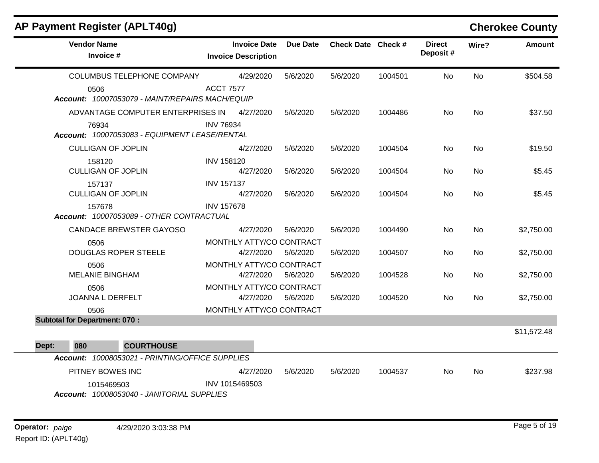| AP Payment Register (APLT40g)        |                                                 |                                                   |                 |                    |         |                           |           | <b>Cherokee County</b> |
|--------------------------------------|-------------------------------------------------|---------------------------------------------------|-----------------|--------------------|---------|---------------------------|-----------|------------------------|
| <b>Vendor Name</b><br>Invoice #      |                                                 | <b>Invoice Date</b><br><b>Invoice Description</b> | <b>Due Date</b> | Check Date Check # |         | <b>Direct</b><br>Deposit# | Wire?     | Amount                 |
|                                      | COLUMBUS TELEPHONE COMPANY                      | 4/29/2020                                         | 5/6/2020        | 5/6/2020           | 1004501 | <b>No</b>                 | <b>No</b> | \$504.58               |
| 0506                                 | Account: 10007053079 - MAINT/REPAIRS MACH/EQUIP | <b>ACCT 7577</b>                                  |                 |                    |         |                           |           |                        |
|                                      | ADVANTAGE COMPUTER ENTERPRISES IN               | 4/27/2020                                         | 5/6/2020        | 5/6/2020           | 1004486 | No                        | <b>No</b> | \$37.50                |
| 76934                                | Account: 10007053083 - EQUIPMENT LEASE/RENTAL   | <b>INV 76934</b>                                  |                 |                    |         |                           |           |                        |
| <b>CULLIGAN OF JOPLIN</b>            |                                                 | 4/27/2020                                         | 5/6/2020        | 5/6/2020           | 1004504 | No.                       | <b>No</b> | \$19.50                |
| 158120<br><b>CULLIGAN OF JOPLIN</b>  |                                                 | <b>INV 158120</b><br>4/27/2020                    | 5/6/2020        | 5/6/2020           | 1004504 | No.                       | <b>No</b> | \$5.45                 |
| 157137<br><b>CULLIGAN OF JOPLIN</b>  |                                                 | <b>INV 157137</b><br>4/27/2020                    | 5/6/2020        | 5/6/2020           | 1004504 | <b>No</b>                 | <b>No</b> | \$5.45                 |
| 157678                               | Account: 10007053089 - OTHER CONTRACTUAL        | <b>INV 157678</b>                                 |                 |                    |         |                           |           |                        |
|                                      | <b>CANDACE BREWSTER GAYOSO</b>                  | 4/27/2020                                         | 5/6/2020        | 5/6/2020           | 1004490 | No.                       | <b>No</b> | \$2,750.00             |
| 0506<br><b>DOUGLAS ROPER STEELE</b>  |                                                 | MONTHLY ATTY/CO CONTRACT<br>4/27/2020             | 5/6/2020        | 5/6/2020           | 1004507 | No.                       | <b>No</b> | \$2,750.00             |
| 0506<br><b>MELANIE BINGHAM</b>       |                                                 | MONTHLY ATTY/CO CONTRACT<br>4/27/2020             | 5/6/2020        | 5/6/2020           | 1004528 | No.                       | <b>No</b> | \$2,750.00             |
| 0506<br>JOANNA L DERFELT             |                                                 | MONTHLY ATTY/CO CONTRACT<br>4/27/2020             | 5/6/2020        | 5/6/2020           | 1004520 | No.                       | <b>No</b> | \$2,750.00             |
| 0506                                 |                                                 | MONTHLY ATTY/CO CONTRACT                          |                 |                    |         |                           |           |                        |
| <b>Subtotal for Department: 070:</b> |                                                 |                                                   |                 |                    |         |                           |           |                        |
|                                      |                                                 |                                                   |                 |                    |         |                           |           | \$11,572.48            |
| 080<br>Dept:                         | <b>COURTHOUSE</b>                               |                                                   |                 |                    |         |                           |           |                        |
|                                      | Account: 10008053021 - PRINTING/OFFICE SUPPLIES |                                                   |                 |                    |         |                           |           |                        |
| PITNEY BOWES INC                     |                                                 | 4/27/2020<br>INV 1015469503                       | 5/6/2020        | 5/6/2020           | 1004537 | No.                       | <b>No</b> | \$237.98               |
| 1015469503                           | Account: 10008053040 - JANITORIAL SUPPLIES      |                                                   |                 |                    |         |                           |           |                        |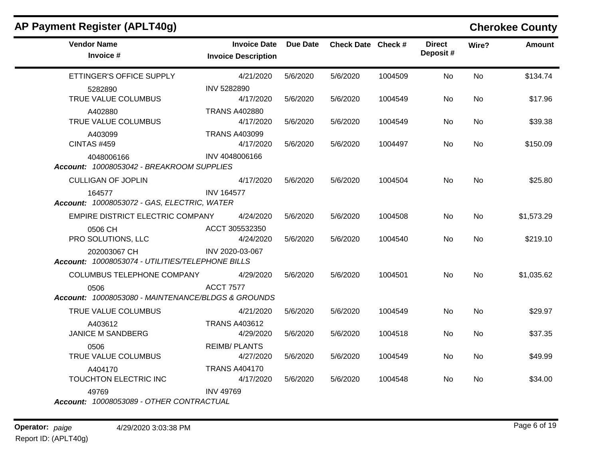| AP Payment Register (APLT40g)                                    |                                                   |          |                    |         |                           |           | <b>Cherokee County</b> |
|------------------------------------------------------------------|---------------------------------------------------|----------|--------------------|---------|---------------------------|-----------|------------------------|
| <b>Vendor Name</b><br>Invoice #                                  | <b>Invoice Date</b><br><b>Invoice Description</b> | Due Date | Check Date Check # |         | <b>Direct</b><br>Deposit# | Wire?     | <b>Amount</b>          |
| ETTINGER'S OFFICE SUPPLY                                         | 4/21/2020                                         | 5/6/2020 | 5/6/2020           | 1004509 | No                        | No        | \$134.74               |
| 5282890<br>TRUE VALUE COLUMBUS                                   | INV 5282890<br>4/17/2020                          | 5/6/2020 | 5/6/2020           | 1004549 | No                        | No        | \$17.96                |
| A402880<br>TRUE VALUE COLUMBUS                                   | <b>TRANS A402880</b><br>4/17/2020                 | 5/6/2020 | 5/6/2020           | 1004549 | No                        | No.       | \$39.38                |
| A403099<br><b>CINTAS #459</b>                                    | <b>TRANS A403099</b><br>4/17/2020                 | 5/6/2020 | 5/6/2020           | 1004497 | No                        | No        | \$150.09               |
| 4048006166<br>Account: 10008053042 - BREAKROOM SUPPLIES          | INV 4048006166                                    |          |                    |         |                           |           |                        |
| <b>CULLIGAN OF JOPLIN</b>                                        | 4/17/2020                                         | 5/6/2020 | 5/6/2020           | 1004504 | No.                       | <b>No</b> | \$25.80                |
| 164577<br>Account: 10008053072 - GAS, ELECTRIC, WATER            | <b>INV 164577</b>                                 |          |                    |         |                           |           |                        |
| EMPIRE DISTRICT ELECTRIC COMPANY                                 | 4/24/2020                                         | 5/6/2020 | 5/6/2020           | 1004508 | No.                       | No.       | \$1,573.29             |
| 0506 CH<br>PRO SOLUTIONS, LLC                                    | ACCT 305532350<br>4/24/2020                       | 5/6/2020 | 5/6/2020           | 1004540 | No.                       | <b>No</b> | \$219.10               |
| 202003067 CH<br>Account: 10008053074 - UTILITIES/TELEPHONE BILLS | INV 2020-03-067                                   |          |                    |         |                           |           |                        |
| COLUMBUS TELEPHONE COMPANY                                       | 4/29/2020                                         | 5/6/2020 | 5/6/2020           | 1004501 | No                        | No.       | \$1,035.62             |
| 0506<br>Account: 10008053080 - MAINTENANCE/BLDGS & GROUNDS       | <b>ACCT 7577</b>                                  |          |                    |         |                           |           |                        |
| TRUE VALUE COLUMBUS                                              | 4/21/2020                                         | 5/6/2020 | 5/6/2020           | 1004549 | <b>No</b>                 | <b>No</b> | \$29.97                |
| A403612<br><b>JANICE M SANDBERG</b>                              | <b>TRANS A403612</b><br>4/29/2020                 | 5/6/2020 | 5/6/2020           | 1004518 | No.                       | No        | \$37.35                |
| 0506<br>TRUE VALUE COLUMBUS                                      | <b>REIMB/PLANTS</b><br>4/27/2020                  | 5/6/2020 | 5/6/2020           | 1004549 | No.                       | No        | \$49.99                |
| A404170<br>TOUCHTON ELECTRIC INC                                 | <b>TRANS A404170</b><br>4/17/2020                 | 5/6/2020 | 5/6/2020           | 1004548 | No.                       | No        | \$34.00                |
| 49769<br>Account: 10008053089 - OTHER CONTRACTUAL                | <b>INV 49769</b>                                  |          |                    |         |                           |           |                        |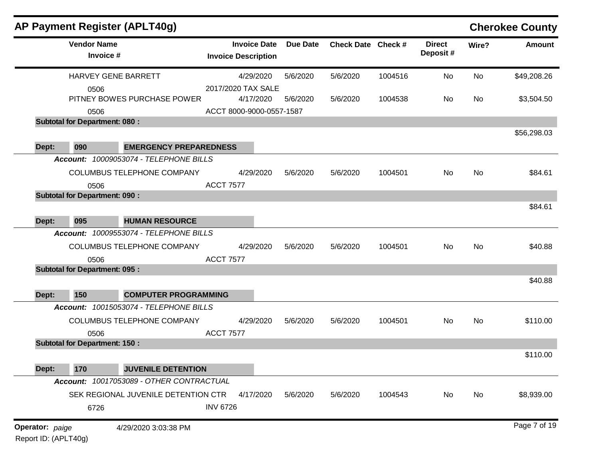|                 |                                      | AP Payment Register (APLT40g)            |                                                   |                 |                    |         |                           |           | <b>Cherokee County</b> |
|-----------------|--------------------------------------|------------------------------------------|---------------------------------------------------|-----------------|--------------------|---------|---------------------------|-----------|------------------------|
|                 | <b>Vendor Name</b><br>Invoice #      |                                          | <b>Invoice Date</b><br><b>Invoice Description</b> | <b>Due Date</b> | Check Date Check # |         | <b>Direct</b><br>Deposit# | Wire?     | <b>Amount</b>          |
|                 | HARVEY GENE BARRETT                  |                                          | 4/29/2020                                         | 5/6/2020        | 5/6/2020           | 1004516 | No                        | No        | \$49,208.26            |
|                 | 0506                                 |                                          | 2017/2020 TAX SALE                                |                 |                    |         |                           |           |                        |
|                 |                                      | PITNEY BOWES PURCHASE POWER              | 4/17/2020                                         | 5/6/2020        | 5/6/2020           | 1004538 | No.                       | No        | \$3,504.50             |
|                 | 0506                                 |                                          | ACCT 8000-9000-0557-1587                          |                 |                    |         |                           |           |                        |
|                 | <b>Subtotal for Department: 080:</b> |                                          |                                                   |                 |                    |         |                           |           |                        |
| Dept:           | 090                                  | <b>EMERGENCY PREPAREDNESS</b>            |                                                   |                 |                    |         |                           |           | \$56,298.03            |
|                 |                                      | Account: 10009053074 - TELEPHONE BILLS   |                                                   |                 |                    |         |                           |           |                        |
|                 |                                      | <b>COLUMBUS TELEPHONE COMPANY</b>        | 4/29/2020                                         | 5/6/2020        | 5/6/2020           | 1004501 | No                        | No        | \$84.61                |
|                 | 0506                                 |                                          | <b>ACCT 7577</b>                                  |                 |                    |         |                           |           |                        |
|                 | <b>Subtotal for Department: 090:</b> |                                          |                                                   |                 |                    |         |                           |           |                        |
|                 |                                      |                                          |                                                   |                 |                    |         |                           |           | \$84.61                |
| Dept:           | 095                                  | <b>HUMAN RESOURCE</b>                    |                                                   |                 |                    |         |                           |           |                        |
|                 |                                      | Account: 10009553074 - TELEPHONE BILLS   |                                                   |                 |                    |         |                           |           |                        |
|                 |                                      | COLUMBUS TELEPHONE COMPANY               | 4/29/2020                                         | 5/6/2020        | 5/6/2020           | 1004501 | No                        | No        | \$40.88                |
|                 | 0506                                 |                                          | <b>ACCT 7577</b>                                  |                 |                    |         |                           |           |                        |
|                 | <b>Subtotal for Department: 095:</b> |                                          |                                                   |                 |                    |         |                           |           |                        |
|                 |                                      |                                          |                                                   |                 |                    |         |                           |           | \$40.88                |
| Dept:           | 150                                  | <b>COMPUTER PROGRAMMING</b>              |                                                   |                 |                    |         |                           |           |                        |
|                 |                                      | Account: 10015053074 - TELEPHONE BILLS   |                                                   |                 |                    |         |                           |           |                        |
|                 |                                      | COLUMBUS TELEPHONE COMPANY               | 4/29/2020                                         | 5/6/2020        | 5/6/2020           | 1004501 | No                        | <b>No</b> | \$110.00               |
|                 | 0506                                 |                                          | <b>ACCT 7577</b>                                  |                 |                    |         |                           |           |                        |
|                 | <b>Subtotal for Department: 150:</b> |                                          |                                                   |                 |                    |         |                           |           |                        |
|                 |                                      |                                          |                                                   |                 |                    |         |                           |           | \$110.00               |
| Dept:           | 170                                  | <b>JUVENILE DETENTION</b>                |                                                   |                 |                    |         |                           |           |                        |
|                 |                                      | Account: 10017053089 - OTHER CONTRACTUAL |                                                   |                 |                    |         |                           |           |                        |
|                 |                                      | SEK REGIONAL JUVENILE DETENTION CTR      | 4/17/2020                                         | 5/6/2020        | 5/6/2020           | 1004543 | No                        | No        | \$8,939.00             |
|                 | 6726                                 |                                          | <b>INV 6726</b>                                   |                 |                    |         |                           |           |                        |
|                 |                                      |                                          |                                                   |                 |                    |         |                           |           | Page 7 of 19           |
| Operator: paige | Report ID: (APLT40g)                 | 4/29/2020 3:03:38 PM                     |                                                   |                 |                    |         |                           |           |                        |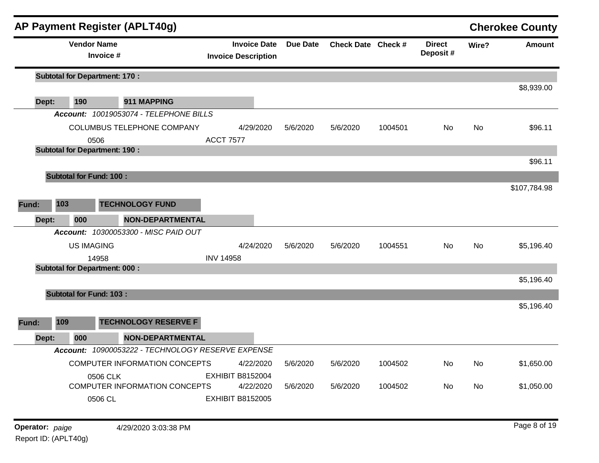|       |                                       |                                 | AP Payment Register (APLT40g)                     |                                                   |                 |                    |         |                           |           | <b>Cherokee County</b> |
|-------|---------------------------------------|---------------------------------|---------------------------------------------------|---------------------------------------------------|-----------------|--------------------|---------|---------------------------|-----------|------------------------|
|       |                                       | <b>Vendor Name</b><br>Invoice # |                                                   | <b>Invoice Date</b><br><b>Invoice Description</b> | <b>Due Date</b> | Check Date Check # |         | <b>Direct</b><br>Deposit# | Wire?     | <b>Amount</b>          |
|       | <b>Subtotal for Department: 170:</b>  |                                 |                                                   |                                                   |                 |                    |         |                           |           |                        |
|       |                                       |                                 |                                                   |                                                   |                 |                    |         |                           |           | \$8,939.00             |
| Dept: | 190                                   |                                 | 911 MAPPING                                       |                                                   |                 |                    |         |                           |           |                        |
|       |                                       |                                 | Account: 10019053074 - TELEPHONE BILLS            |                                                   |                 |                    |         |                           |           |                        |
|       |                                       |                                 | COLUMBUS TELEPHONE COMPANY                        | 4/29/2020                                         | 5/6/2020        | 5/6/2020           | 1004501 | No.                       | <b>No</b> | \$96.11                |
|       |                                       | 0506                            |                                                   | <b>ACCT 7577</b>                                  |                 |                    |         |                           |           |                        |
|       | <b>Subtotal for Department: 190 :</b> |                                 |                                                   |                                                   |                 |                    |         |                           |           | \$96.11                |
|       |                                       |                                 |                                                   |                                                   |                 |                    |         |                           |           |                        |
|       | <b>Subtotal for Fund: 100:</b>        |                                 |                                                   |                                                   |                 |                    |         |                           |           |                        |
|       |                                       |                                 |                                                   |                                                   |                 |                    |         |                           |           | \$107,784.98           |
| Fund: | 103                                   |                                 | <b>TECHNOLOGY FUND</b>                            |                                                   |                 |                    |         |                           |           |                        |
| Dept: | 000                                   |                                 | <b>NON-DEPARTMENTAL</b>                           |                                                   |                 |                    |         |                           |           |                        |
|       |                                       |                                 | Account: 10300053300 - MISC PAID OUT              |                                                   |                 |                    |         |                           |           |                        |
|       |                                       | <b>US IMAGING</b>               |                                                   | 4/24/2020                                         | 5/6/2020        | 5/6/2020           | 1004551 | No.                       | <b>No</b> | \$5,196.40             |
|       |                                       | 14958                           |                                                   | <b>INV 14958</b>                                  |                 |                    |         |                           |           |                        |
|       | <b>Subtotal for Department: 000:</b>  |                                 |                                                   |                                                   |                 |                    |         |                           |           |                        |
|       |                                       |                                 |                                                   |                                                   |                 |                    |         |                           |           | \$5,196.40             |
|       | <b>Subtotal for Fund: 103:</b>        |                                 |                                                   |                                                   |                 |                    |         |                           |           |                        |
|       |                                       |                                 |                                                   |                                                   |                 |                    |         |                           |           | \$5,196.40             |
| Fund: | 109                                   |                                 | <b>TECHNOLOGY RESERVE F</b>                       |                                                   |                 |                    |         |                           |           |                        |
| Dept: | 000                                   |                                 | <b>NON-DEPARTMENTAL</b>                           |                                                   |                 |                    |         |                           |           |                        |
|       |                                       |                                 | Account: 10900053222 - TECHNOLOGY RESERVE EXPENSE |                                                   |                 |                    |         |                           |           |                        |
|       |                                       |                                 | COMPUTER INFORMATION CONCEPTS                     | 4/22/2020                                         | 5/6/2020        | 5/6/2020           | 1004502 | No.                       | No        | \$1,650.00             |
|       |                                       | 0506 CLK                        |                                                   | <b>EXHIBIT B8152004</b>                           |                 |                    |         |                           |           |                        |
|       |                                       |                                 | <b>COMPUTER INFORMATION CONCEPTS</b>              | 4/22/2020                                         | 5/6/2020        | 5/6/2020           | 1004502 | No                        | No        | \$1,050.00             |
|       |                                       | 0506 CL                         |                                                   | <b>EXHIBIT B8152005</b>                           |                 |                    |         |                           |           |                        |
|       |                                       |                                 |                                                   |                                                   |                 |                    |         |                           |           |                        |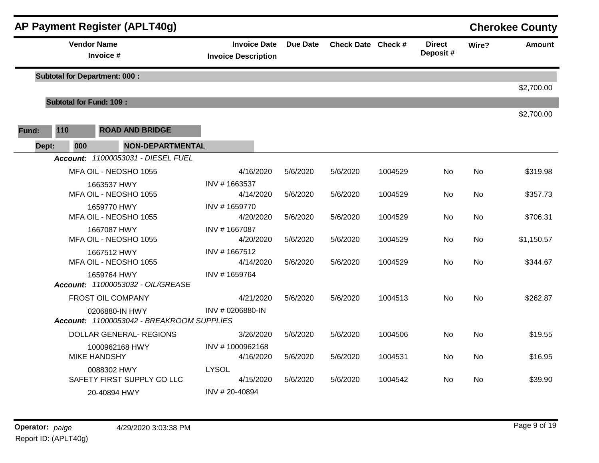|       |                                      | <b>AP Payment Register (APLT40g)</b>                        |                                                   |                 |                    |         |                           |           | <b>Cherokee County</b> |
|-------|--------------------------------------|-------------------------------------------------------------|---------------------------------------------------|-----------------|--------------------|---------|---------------------------|-----------|------------------------|
|       |                                      | <b>Vendor Name</b><br>Invoice #                             | <b>Invoice Date</b><br><b>Invoice Description</b> | <b>Due Date</b> | Check Date Check # |         | <b>Direct</b><br>Deposit# | Wire?     | <b>Amount</b>          |
|       | <b>Subtotal for Department: 000:</b> |                                                             |                                                   |                 |                    |         |                           |           |                        |
|       |                                      |                                                             |                                                   |                 |                    |         |                           |           | \$2,700.00             |
|       | <b>Subtotal for Fund: 109:</b>       |                                                             |                                                   |                 |                    |         |                           |           |                        |
|       |                                      |                                                             |                                                   |                 |                    |         |                           |           | \$2,700.00             |
| Fund: | 110                                  | <b>ROAD AND BRIDGE</b>                                      |                                                   |                 |                    |         |                           |           |                        |
|       | Dept:<br>000                         | <b>NON-DEPARTMENTAL</b>                                     |                                                   |                 |                    |         |                           |           |                        |
|       |                                      | Account: 11000053031 - DIESEL FUEL                          |                                                   |                 |                    |         |                           |           |                        |
|       |                                      | MFA OIL - NEOSHO 1055                                       | 4/16/2020                                         | 5/6/2020        | 5/6/2020           | 1004529 | <b>No</b>                 | <b>No</b> | \$319.98               |
|       |                                      | 1663537 HWY                                                 | INV #1663537                                      |                 |                    |         |                           |           |                        |
|       |                                      | MFA OIL - NEOSHO 1055                                       | 4/14/2020                                         | 5/6/2020        | 5/6/2020           | 1004529 | No                        | No        | \$357.73               |
|       |                                      | 1659770 HWY<br>MFA OIL - NEOSHO 1055                        | INV #1659770<br>4/20/2020                         | 5/6/2020        | 5/6/2020           | 1004529 | No                        | <b>No</b> | \$706.31               |
|       |                                      | 1667087 HWY                                                 | INV #1667087                                      |                 |                    |         |                           |           |                        |
|       |                                      | MFA OIL - NEOSHO 1055                                       | 4/20/2020                                         | 5/6/2020        | 5/6/2020           | 1004529 | No.                       | No        | \$1,150.57             |
|       |                                      | 1667512 HWY                                                 | INV #1667512                                      |                 |                    |         |                           |           |                        |
|       |                                      | MFA OIL - NEOSHO 1055                                       | 4/14/2020                                         | 5/6/2020        | 5/6/2020           | 1004529 | <b>No</b>                 | <b>No</b> | \$344.67               |
|       |                                      | 1659764 HWY<br>Account: 11000053032 - OIL/GREASE            | INV #1659764                                      |                 |                    |         |                           |           |                        |
|       |                                      | FROST OIL COMPANY                                           | 4/21/2020                                         | 5/6/2020        | 5/6/2020           | 1004513 | No                        | <b>No</b> | \$262.87               |
|       |                                      | 0206880-IN HWY<br>Account: 11000053042 - BREAKROOM SUPPLIES | INV #0206880-IN                                   |                 |                    |         |                           |           |                        |
|       |                                      | <b>DOLLAR GENERAL- REGIONS</b>                              | 3/26/2020                                         | 5/6/2020        | 5/6/2020           | 1004506 | <b>No</b>                 | <b>No</b> | \$19.55                |
|       |                                      | 1000962168 HWY<br><b>MIKE HANDSHY</b>                       | INV #1000962168<br>4/16/2020                      | 5/6/2020        | 5/6/2020           | 1004531 | <b>No</b>                 | <b>No</b> | \$16.95                |
|       |                                      | 0088302 HWY<br>SAFETY FIRST SUPPLY CO LLC                   | <b>LYSOL</b><br>4/15/2020                         | 5/6/2020        | 5/6/2020           | 1004542 | No.                       | No.       | \$39.90                |
|       |                                      | 20-40894 HWY                                                | INV #20-40894                                     |                 |                    |         |                           |           |                        |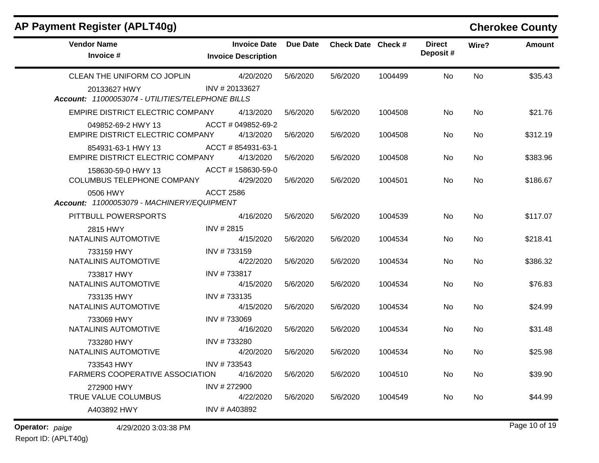# **AP Payment Register (APLT40g) Cherokee County**

| <b>Vendor Name</b><br>Invoice #                               | <b>Invoice Date</b><br><b>Invoice Description</b> | <b>Due Date</b> | Check Date Check # |         | <b>Direct</b><br>Deposit# | Wire?     | <b>Amount</b> |
|---------------------------------------------------------------|---------------------------------------------------|-----------------|--------------------|---------|---------------------------|-----------|---------------|
| CLEAN THE UNIFORM CO JOPLIN<br>20133627 HWY                   | 4/20/2020<br>INV #20133627                        | 5/6/2020        | 5/6/2020           | 1004499 | No.                       | <b>No</b> | \$35.43       |
| Account: 11000053074 - UTILITIES/TELEPHONE BILLS              |                                                   |                 |                    |         |                           |           |               |
| EMPIRE DISTRICT ELECTRIC COMPANY                              | 4/13/2020                                         | 5/6/2020        | 5/6/2020           | 1004508 | No                        | No        | \$21.76       |
| 049852-69-2 HWY 13<br><b>EMPIRE DISTRICT ELECTRIC COMPANY</b> | ACCT#049852-69-2<br>4/13/2020                     | 5/6/2020        | 5/6/2020           | 1004508 | No.                       | <b>No</b> | \$312.19      |
| 854931-63-1 HWY 13<br>EMPIRE DISTRICT ELECTRIC COMPANY        | ACCT # 854931-63-1<br>4/13/2020                   | 5/6/2020        | 5/6/2020           | 1004508 | No.                       | No.       | \$383.96      |
| 158630-59-0 HWY 13<br>COLUMBUS TELEPHONE COMPANY              | ACCT #158630-59-0<br>4/29/2020                    | 5/6/2020        | 5/6/2020           | 1004501 | N <sub>o</sub>            | <b>No</b> | \$186.67      |
| 0506 HWY<br>Account: 11000053079 - MACHINERY/EQUIPMENT        | <b>ACCT 2586</b>                                  |                 |                    |         |                           |           |               |
| PITTBULL POWERSPORTS                                          | 4/16/2020                                         | 5/6/2020        | 5/6/2020           | 1004539 | No.                       | <b>No</b> | \$117.07      |
| 2815 HWY<br>NATALINIS AUTOMOTIVE                              | INV #2815<br>4/15/2020                            | 5/6/2020        | 5/6/2020           | 1004534 | No.                       | No.       | \$218.41      |
| 733159 HWY<br>NATALINIS AUTOMOTIVE                            | INV #733159<br>4/22/2020                          | 5/6/2020        | 5/6/2020           | 1004534 | No                        | <b>No</b> | \$386.32      |
| 733817 HWY<br>NATALINIS AUTOMOTIVE                            | INV #733817<br>4/15/2020                          | 5/6/2020        | 5/6/2020           | 1004534 | <b>No</b>                 | <b>No</b> | \$76.83       |
| 733135 HWY<br>NATALINIS AUTOMOTIVE                            | INV #733135<br>4/15/2020                          | 5/6/2020        | 5/6/2020           | 1004534 | No.                       | <b>No</b> | \$24.99       |
| 733069 HWY<br>NATALINIS AUTOMOTIVE                            | INV #733069<br>4/16/2020                          | 5/6/2020        | 5/6/2020           | 1004534 | No.                       | No        | \$31.48       |
| 733280 HWY<br>NATALINIS AUTOMOTIVE                            | INV #733280<br>4/20/2020                          | 5/6/2020        | 5/6/2020           | 1004534 | No.                       | <b>No</b> | \$25.98       |
| 733543 HWY<br>FARMERS COOPERATIVE ASSOCIATION                 | INV #733543<br>4/16/2020                          | 5/6/2020        | 5/6/2020           | 1004510 | No.                       | No.       | \$39.90       |
| 272900 HWY<br>TRUE VALUE COLUMBUS                             | INV #272900<br>4/22/2020                          | 5/6/2020        | 5/6/2020           | 1004549 | No.                       | No        | \$44.99       |
| A403892 HWY                                                   | INV # A403892                                     |                 |                    |         |                           |           |               |
|                                                               |                                                   |                 |                    |         |                           |           |               |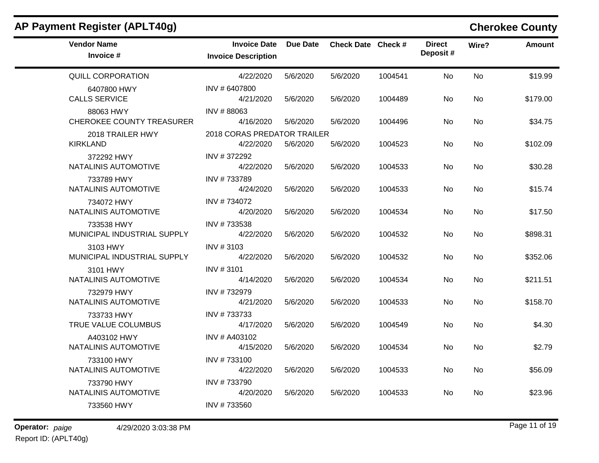| <b>Vendor Name</b><br>Invoice #               | <b>Invoice Date</b><br><b>Invoice Description</b> | Due Date | Check Date Check # |         | <b>Direct</b><br>Deposit# | Wire?     | <b>Amount</b> |
|-----------------------------------------------|---------------------------------------------------|----------|--------------------|---------|---------------------------|-----------|---------------|
| <b>QUILL CORPORATION</b>                      | 4/22/2020                                         | 5/6/2020 | 5/6/2020           | 1004541 | <b>No</b>                 | <b>No</b> | \$19.99       |
| 6407800 HWY<br><b>CALLS SERVICE</b>           | INV # 6407800<br>4/21/2020                        | 5/6/2020 | 5/6/2020           | 1004489 | No                        | <b>No</b> | \$179.00      |
| 88063 HWY<br><b>CHEROKEE COUNTY TREASURER</b> | INV #88063<br>4/16/2020                           | 5/6/2020 | 5/6/2020           | 1004496 | No.                       | No.       | \$34.75       |
| 2018 TRAILER HWY<br><b>KIRKLAND</b>           | 2018 CORAS PREDATOR TRAILER<br>4/22/2020          | 5/6/2020 | 5/6/2020           | 1004523 | No                        | No        | \$102.09      |
| 372292 HWY<br>NATALINIS AUTOMOTIVE            | INV #372292<br>4/22/2020                          | 5/6/2020 | 5/6/2020           | 1004533 | <b>No</b>                 | <b>No</b> | \$30.28       |
| 733789 HWY<br>NATALINIS AUTOMOTIVE            | INV #733789<br>4/24/2020                          | 5/6/2020 | 5/6/2020           | 1004533 | No.                       | <b>No</b> | \$15.74       |
| 734072 HWY<br>NATALINIS AUTOMOTIVE            | INV #734072<br>4/20/2020                          | 5/6/2020 | 5/6/2020           | 1004534 | No.                       | <b>No</b> | \$17.50       |
| 733538 HWY<br>MUNICIPAL INDUSTRIAL SUPPLY     | INV #733538<br>4/22/2020                          | 5/6/2020 | 5/6/2020           | 1004532 | No.                       | <b>No</b> | \$898.31      |
| 3103 HWY<br>MUNICIPAL INDUSTRIAL SUPPLY       | INV #3103<br>4/22/2020                            | 5/6/2020 | 5/6/2020           | 1004532 | No                        | No        | \$352.06      |
| 3101 HWY<br>NATALINIS AUTOMOTIVE              | INV #3101<br>4/14/2020                            | 5/6/2020 | 5/6/2020           | 1004534 | <b>No</b>                 | <b>No</b> | \$211.51      |
| 732979 HWY<br>NATALINIS AUTOMOTIVE            | INV #732979<br>4/21/2020                          | 5/6/2020 | 5/6/2020           | 1004533 | No.                       | <b>No</b> | \$158.70      |
| 733733 HWY<br>TRUE VALUE COLUMBUS             | INV #733733<br>4/17/2020                          | 5/6/2020 | 5/6/2020           | 1004549 | No.                       | <b>No</b> | \$4.30        |
| A403102 HWY<br>NATALINIS AUTOMOTIVE           | INV # A403102<br>4/15/2020                        | 5/6/2020 | 5/6/2020           | 1004534 | No                        | No        | \$2.79        |
| 733100 HWY<br>NATALINIS AUTOMOTIVE            | INV #733100<br>4/22/2020                          | 5/6/2020 | 5/6/2020           | 1004533 | No                        | No        | \$56.09       |
| 733790 HWY<br>NATALINIS AUTOMOTIVE            | INV #733790<br>4/20/2020                          | 5/6/2020 | 5/6/2020           | 1004533 | No                        | No        | \$23.96       |
| 733560 HWY                                    | INV #733560                                       |          |                    |         |                           |           |               |

## **AP Payment Register (APLT40g) Cherokee County**

**Operator:** paige 4/29/2020 3:03:38 PM Report ID: (APLT40g)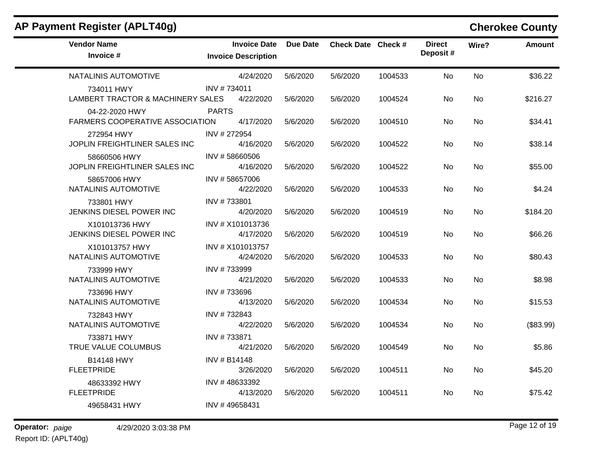| <b>AP Payment Register (APLT40g)</b> |  |
|--------------------------------------|--|
|--------------------------------------|--|

# **Cherokee County**

| <b>Vendor Name</b><br>Invoice #                          | <b>Invoice Date</b><br><b>Invoice Description</b> | <b>Due Date</b> | Check Date Check # |         | <b>Direct</b><br>Deposit# | Wire?     | <b>Amount</b> |
|----------------------------------------------------------|---------------------------------------------------|-----------------|--------------------|---------|---------------------------|-----------|---------------|
| NATALINIS AUTOMOTIVE                                     | 4/24/2020                                         | 5/6/2020        | 5/6/2020           | 1004533 | <b>No</b>                 | <b>No</b> | \$36.22       |
| 734011 HWY<br>LAMBERT TRACTOR & MACHINERY SALES          | INV #734011<br>4/22/2020                          | 5/6/2020        | 5/6/2020           | 1004524 | No.                       | No        | \$216.27      |
| 04-22-2020 HWY<br><b>FARMERS COOPERATIVE ASSOCIATION</b> | <b>PARTS</b><br>4/17/2020                         | 5/6/2020        | 5/6/2020           | 1004510 | No                        | No        | \$34.41       |
| 272954 HWY<br>JOPLIN FREIGHTLINER SALES INC              | INV #272954<br>4/16/2020                          | 5/6/2020        | 5/6/2020           | 1004522 | No                        | No        | \$38.14       |
| 58660506 HWY<br>JOPLIN FREIGHTLINER SALES INC            | INV #58660506<br>4/16/2020                        | 5/6/2020        | 5/6/2020           | 1004522 | No.                       | No        | \$55.00       |
| 58657006 HWY<br>NATALINIS AUTOMOTIVE                     | INV #58657006<br>4/22/2020                        | 5/6/2020        | 5/6/2020           | 1004533 | No                        | No        | \$4.24        |
| 733801 HWY<br>JENKINS DIESEL POWER INC                   | INV #733801<br>4/20/2020                          | 5/6/2020        | 5/6/2020           | 1004519 | No                        | No        | \$184.20      |
| X101013736 HWY<br>JENKINS DIESEL POWER INC               | INV # X101013736<br>4/17/2020                     | 5/6/2020        | 5/6/2020           | 1004519 | No.                       | No        | \$66.26       |
| X101013757 HWY<br>NATALINIS AUTOMOTIVE                   | INV # X101013757<br>4/24/2020                     | 5/6/2020        | 5/6/2020           | 1004533 | No.                       | No        | \$80.43       |
| 733999 HWY<br>NATALINIS AUTOMOTIVE                       | INV #733999<br>4/21/2020                          | 5/6/2020        | 5/6/2020           | 1004533 | <b>No</b>                 | <b>No</b> | \$8.98        |
| 733696 HWY<br>NATALINIS AUTOMOTIVE                       | INV #733696<br>4/13/2020                          | 5/6/2020        | 5/6/2020           | 1004534 | No.                       | No        | \$15.53       |
| 732843 HWY<br>NATALINIS AUTOMOTIVE                       | INV #732843<br>4/22/2020                          | 5/6/2020        | 5/6/2020           | 1004534 | No.                       | No        | (\$83.99)     |
| 733871 HWY<br>TRUE VALUE COLUMBUS                        | INV #733871<br>4/21/2020                          | 5/6/2020        | 5/6/2020           | 1004549 | No.                       | No        | \$5.86        |
| <b>B14148 HWY</b><br><b>FLEETPRIDE</b>                   | INV # B14148<br>3/26/2020                         | 5/6/2020        | 5/6/2020           | 1004511 | No                        | No        | \$45.20       |
| 48633392 HWY<br><b>FLEETPRIDE</b>                        | INV #48633392<br>4/13/2020                        | 5/6/2020        | 5/6/2020           | 1004511 | No                        | No        | \$75.42       |
| 49658431 HWY                                             | INV #49658431                                     |                 |                    |         |                           |           |               |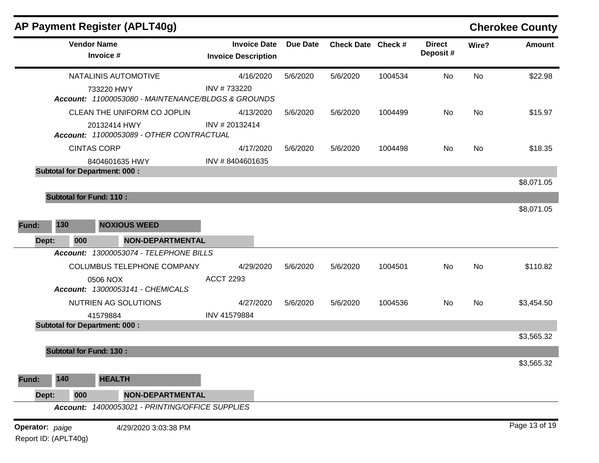|                      |     |                                      | AP Payment Register (APLT40g)                      |                                                   |                 |                    |         |                           |           | <b>Cherokee County</b> |
|----------------------|-----|--------------------------------------|----------------------------------------------------|---------------------------------------------------|-----------------|--------------------|---------|---------------------------|-----------|------------------------|
|                      |     | <b>Vendor Name</b><br>Invoice #      |                                                    | <b>Invoice Date</b><br><b>Invoice Description</b> | <b>Due Date</b> | Check Date Check # |         | <b>Direct</b><br>Deposit# | Wire?     | <b>Amount</b>          |
|                      |     |                                      | <b>NATALINIS AUTOMOTIVE</b>                        | 4/16/2020                                         | 5/6/2020        | 5/6/2020           | 1004534 | No                        | No        | \$22.98                |
|                      |     | 733220 HWY                           | Account: 11000053080 - MAINTENANCE/BLDGS & GROUNDS | INV #733220                                       |                 |                    |         |                           |           |                        |
|                      |     |                                      | CLEAN THE UNIFORM CO JOPLIN                        | 4/13/2020                                         | 5/6/2020        | 5/6/2020           | 1004499 | No                        | No        | \$15.97                |
|                      |     | 20132414 HWY                         | Account: 11000053089 - OTHER CONTRACTUAL           | INV #20132414                                     |                 |                    |         |                           |           |                        |
|                      |     | <b>CINTAS CORP</b>                   |                                                    | 4/17/2020                                         | 5/6/2020        | 5/6/2020           | 1004498 | No.                       | No        | \$18.35                |
|                      |     |                                      | 8404601635 HWY                                     | INV #8404601635                                   |                 |                    |         |                           |           |                        |
|                      |     | <b>Subtotal for Department: 000:</b> |                                                    |                                                   |                 |                    |         |                           |           |                        |
|                      |     |                                      |                                                    |                                                   |                 |                    |         |                           |           | \$8,071.05             |
|                      |     | <b>Subtotal for Fund: 110:</b>       |                                                    |                                                   |                 |                    |         |                           |           |                        |
|                      |     |                                      |                                                    |                                                   |                 |                    |         |                           |           | \$8,071.05             |
| Fund:                | 130 |                                      | <b>NOXIOUS WEED</b>                                |                                                   |                 |                    |         |                           |           |                        |
| Dept:                |     | 000                                  | <b>NON-DEPARTMENTAL</b>                            |                                                   |                 |                    |         |                           |           |                        |
|                      |     |                                      | Account: 13000053074 - TELEPHONE BILLS             |                                                   |                 |                    |         |                           |           |                        |
|                      |     |                                      | COLUMBUS TELEPHONE COMPANY                         | 4/29/2020                                         | 5/6/2020        | 5/6/2020           | 1004501 | No                        | <b>No</b> | \$110.82               |
|                      |     | 0506 NOX                             | Account: 13000053141 - CHEMICALS                   | <b>ACCT 2293</b>                                  |                 |                    |         |                           |           |                        |
|                      |     |                                      | NUTRIEN AG SOLUTIONS                               | 4/27/2020                                         | 5/6/2020        | 5/6/2020           | 1004536 | No                        | No        | \$3,454.50             |
|                      |     | 41579884                             |                                                    | INV 41579884                                      |                 |                    |         |                           |           |                        |
|                      |     | <b>Subtotal for Department: 000:</b> |                                                    |                                                   |                 |                    |         |                           |           |                        |
|                      |     |                                      |                                                    |                                                   |                 |                    |         |                           |           | \$3,565.32             |
|                      |     | <b>Subtotal for Fund: 130:</b>       |                                                    |                                                   |                 |                    |         |                           |           |                        |
|                      |     |                                      |                                                    |                                                   |                 |                    |         |                           |           | \$3,565.32             |
| Fund:                | 140 | <b>HEALTH</b>                        |                                                    |                                                   |                 |                    |         |                           |           |                        |
| Dept:                |     | 000                                  | <b>NON-DEPARTMENTAL</b>                            |                                                   |                 |                    |         |                           |           |                        |
|                      |     |                                      | Account: 14000053021 - PRINTING/OFFICE SUPPLIES    |                                                   |                 |                    |         |                           |           |                        |
| Operator: paige      |     |                                      | 4/29/2020 3:03:38 PM                               |                                                   |                 |                    |         |                           |           | Page 13 of 19          |
| Report ID: (APLT40g) |     |                                      |                                                    |                                                   |                 |                    |         |                           |           |                        |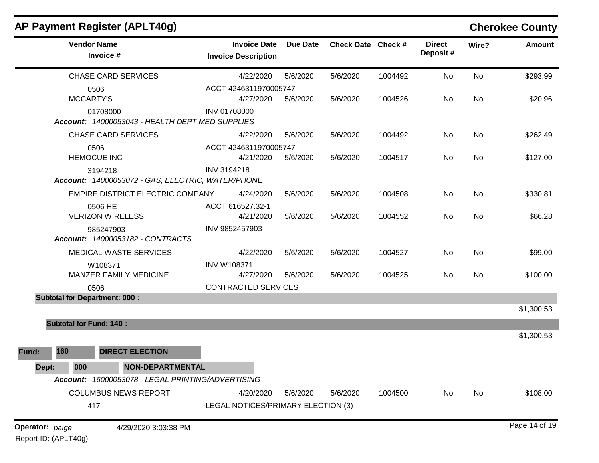| <b>AP Payment Register (APLT40g)</b>          |                                                   |                                                   |                 |                    |         |                           |           | <b>Cherokee County</b> |
|-----------------------------------------------|---------------------------------------------------|---------------------------------------------------|-----------------|--------------------|---------|---------------------------|-----------|------------------------|
| <b>Vendor Name</b><br>Invoice #               |                                                   | <b>Invoice Date</b><br><b>Invoice Description</b> | <b>Due Date</b> | Check Date Check # |         | <b>Direct</b><br>Deposit# | Wire?     | <b>Amount</b>          |
| <b>CHASE CARD SERVICES</b>                    |                                                   | 4/22/2020                                         | 5/6/2020        | 5/6/2020           | 1004492 | No                        | No        | \$293.99               |
| 0506<br><b>MCCARTY'S</b>                      |                                                   | ACCT 4246311970005747<br>4/27/2020                | 5/6/2020        | 5/6/2020           | 1004526 | No                        | <b>No</b> | \$20.96                |
| 01708000                                      | Account: 14000053043 - HEALTH DEPT MED SUPPLIES   | <b>INV 01708000</b>                               |                 |                    |         |                           |           |                        |
| <b>CHASE CARD SERVICES</b>                    |                                                   | 4/22/2020                                         | 5/6/2020        | 5/6/2020           | 1004492 | No                        | <b>No</b> | \$262.49               |
| 0506<br><b>HEMOCUE INC</b>                    |                                                   | ACCT 4246311970005747<br>4/21/2020                | 5/6/2020        | 5/6/2020           | 1004517 | No                        | <b>No</b> | \$127.00               |
| 3194218                                       | Account: 14000053072 - GAS, ELECTRIC, WATER/PHONE | INV 3194218                                       |                 |                    |         |                           |           |                        |
|                                               | EMPIRE DISTRICT ELECTRIC COMPANY                  | 4/24/2020                                         | 5/6/2020        | 5/6/2020           | 1004508 | No                        | <b>No</b> | \$330.81               |
| 0506 HE<br><b>VERIZON WIRELESS</b>            |                                                   | ACCT 616527.32-1<br>4/21/2020                     | 5/6/2020        | 5/6/2020           | 1004552 | No                        | No        | \$66.28                |
| 985247903<br>Account: 14000053182 - CONTRACTS |                                                   | INV 9852457903                                    |                 |                    |         |                           |           |                        |
| <b>MEDICAL WASTE SERVICES</b>                 |                                                   | 4/22/2020                                         | 5/6/2020        | 5/6/2020           | 1004527 | No                        | <b>No</b> | \$99.00                |
| W108371<br>MANZER FAMILY MEDICINE             |                                                   | <b>INV W108371</b><br>4/27/2020                   | 5/6/2020        | 5/6/2020           | 1004525 | No                        | <b>No</b> | \$100.00               |
| 0506                                          |                                                   | <b>CONTRACTED SERVICES</b>                        |                 |                    |         |                           |           |                        |
| <b>Subtotal for Department: 000:</b>          |                                                   |                                                   |                 |                    |         |                           |           | \$1,300.53             |
| <b>Subtotal for Fund: 140:</b>                |                                                   |                                                   |                 |                    |         |                           |           |                        |
|                                               |                                                   |                                                   |                 |                    |         |                           |           | \$1,300.53             |
| 160<br>Fund:                                  | <b>DIRECT ELECTION</b>                            |                                                   |                 |                    |         |                           |           |                        |
| 000<br>Dept:                                  | <b>NON-DEPARTMENTAL</b>                           |                                                   |                 |                    |         |                           |           |                        |
|                                               | Account: 16000053078 - LEGAL PRINTING/ADVERTISING |                                                   |                 |                    |         |                           |           |                        |
| <b>COLUMBUS NEWS REPORT</b>                   |                                                   | 4/20/2020                                         | 5/6/2020        | 5/6/2020           | 1004500 | No                        | No        | \$108.00               |
| 417                                           |                                                   | LEGAL NOTICES/PRIMARY ELECTION (3)                |                 |                    |         |                           |           |                        |
| Operator: paige<br>Report ID: (APLT40g)       | 4/29/2020 3:03:38 PM                              |                                                   |                 |                    |         |                           |           | Page 14 of 19          |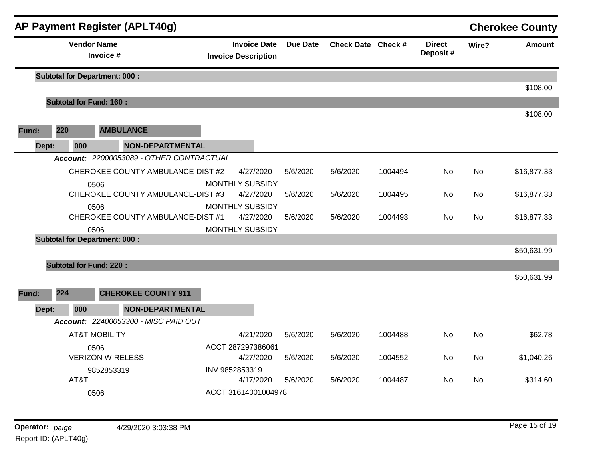|       |                                | <b>AP Payment Register (APLT40g)</b>      |                                                   |                 |                    |         |                            |           | <b>Cherokee County</b> |
|-------|--------------------------------|-------------------------------------------|---------------------------------------------------|-----------------|--------------------|---------|----------------------------|-----------|------------------------|
|       | <b>Vendor Name</b>             | Invoice #                                 | <b>Invoice Date</b><br><b>Invoice Description</b> | <b>Due Date</b> | Check Date Check # |         | <b>Direct</b><br>Deposit # | Wire?     | <b>Amount</b>          |
|       |                                | <b>Subtotal for Department: 000:</b>      |                                                   |                 |                    |         |                            |           |                        |
|       | <b>Subtotal for Fund: 160:</b> |                                           |                                                   |                 |                    |         |                            |           | \$108.00               |
|       |                                |                                           |                                                   |                 |                    |         |                            |           | \$108.00               |
| Fund: | 220                            | <b>AMBULANCE</b>                          |                                                   |                 |                    |         |                            |           |                        |
| Dept: | 000                            | <b>NON-DEPARTMENTAL</b>                   |                                                   |                 |                    |         |                            |           |                        |
|       |                                | Account: 22000053089 - OTHER CONTRACTUAL  |                                                   |                 |                    |         |                            |           |                        |
|       |                                | CHEROKEE COUNTY AMBULANCE-DIST #2         | 4/27/2020                                         | 5/6/2020        | 5/6/2020           | 1004494 | <b>No</b>                  | <b>No</b> | \$16,877.33            |
|       |                                | 0506<br>CHEROKEE COUNTY AMBULANCE-DIST #3 | <b>MONTHLY SUBSIDY</b><br>4/27/2020               | 5/6/2020        | 5/6/2020           | 1004495 | No                         | No        | \$16,877.33            |
|       |                                | 0506<br>CHEROKEE COUNTY AMBULANCE-DIST #1 | <b>MONTHLY SUBSIDY</b><br>4/27/2020               | 5/6/2020        | 5/6/2020           | 1004493 | No                         | No        | \$16,877.33            |
|       |                                | 0506                                      | <b>MONTHLY SUBSIDY</b>                            |                 |                    |         |                            |           |                        |
|       |                                | <b>Subtotal for Department: 000:</b>      |                                                   |                 |                    |         |                            |           |                        |
|       |                                |                                           |                                                   |                 |                    |         |                            |           | \$50,631.99            |
|       | <b>Subtotal for Fund: 220:</b> |                                           |                                                   |                 |                    |         |                            |           |                        |
|       |                                |                                           |                                                   |                 |                    |         |                            |           | \$50,631.99            |
| Fund: | 224                            | <b>CHEROKEE COUNTY 911</b>                |                                                   |                 |                    |         |                            |           |                        |
| Dept: | 000                            | <b>NON-DEPARTMENTAL</b>                   |                                                   |                 |                    |         |                            |           |                        |
|       |                                | Account: 22400053300 - MISC PAID OUT      |                                                   |                 |                    |         |                            |           |                        |
|       |                                | <b>AT&amp;T MOBILITY</b>                  | 4/21/2020                                         | 5/6/2020        | 5/6/2020           | 1004488 | <b>No</b>                  | <b>No</b> | \$62.78                |
|       |                                | 0506<br><b>VERIZON WIRELESS</b>           | ACCT 287297386061<br>4/27/2020                    | 5/6/2020        | 5/6/2020           | 1004552 | No.                        | <b>No</b> | \$1,040.26             |
|       |                                | 9852853319                                | INV 9852853319                                    |                 |                    |         |                            |           |                        |
|       | AT&T                           |                                           | 4/17/2020                                         | 5/6/2020        | 5/6/2020           | 1004487 | No                         | No        | \$314.60               |
|       |                                | 0506                                      | ACCT 31614001004978                               |                 |                    |         |                            |           |                        |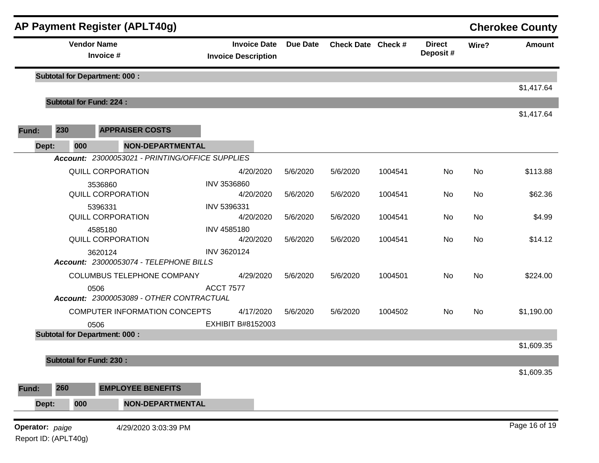|                 |                                 |      | <b>AP Payment Register (APLT40g)</b>              |                                                   |                 |                    |         |                           |           | <b>Cherokee County</b> |
|-----------------|---------------------------------|------|---------------------------------------------------|---------------------------------------------------|-----------------|--------------------|---------|---------------------------|-----------|------------------------|
|                 | <b>Vendor Name</b><br>Invoice # |      |                                                   | <b>Invoice Date</b><br><b>Invoice Description</b> | <b>Due Date</b> | Check Date Check # |         | <b>Direct</b><br>Deposit# | Wire?     | <b>Amount</b>          |
|                 |                                 |      | <b>Subtotal for Department: 000:</b>              |                                                   |                 |                    |         |                           |           | \$1,417.64             |
|                 |                                 |      | <b>Subtotal for Fund: 224:</b>                    |                                                   |                 |                    |         |                           |           |                        |
| Fund:           | 230                             |      | <b>APPRAISER COSTS</b>                            |                                                   |                 |                    |         |                           |           | \$1,417.64             |
|                 | Dept:                           | 000  | <b>NON-DEPARTMENTAL</b>                           |                                                   |                 |                    |         |                           |           |                        |
|                 |                                 |      | Account: 23000053021 - PRINTING/OFFICE SUPPLIES   |                                                   |                 |                    |         |                           |           |                        |
|                 |                                 |      | <b>QUILL CORPORATION</b>                          | 4/20/2020                                         | 5/6/2020        | 5/6/2020           | 1004541 | No                        | No        | \$113.88               |
|                 |                                 |      | 3536860<br>QUILL CORPORATION                      | INV 3536860<br>4/20/2020                          | 5/6/2020        | 5/6/2020           | 1004541 | No                        | <b>No</b> | \$62.36                |
|                 |                                 |      | 5396331<br>QUILL CORPORATION                      | INV 5396331<br>4/20/2020                          | 5/6/2020        | 5/6/2020           | 1004541 | No                        | No        | \$4.99                 |
|                 |                                 |      | 4585180<br>QUILL CORPORATION                      | INV 4585180<br>4/20/2020                          | 5/6/2020        | 5/6/2020           | 1004541 | No                        | <b>No</b> | \$14.12                |
|                 |                                 |      | 3620124<br>Account: 23000053074 - TELEPHONE BILLS | INV 3620124                                       |                 |                    |         |                           |           |                        |
|                 |                                 |      | COLUMBUS TELEPHONE COMPANY                        | 4/29/2020                                         | 5/6/2020        | 5/6/2020           | 1004501 | <b>No</b>                 | No        | \$224.00               |
|                 |                                 | 0506 | Account: 23000053089 - OTHER CONTRACTUAL          | <b>ACCT 7577</b>                                  |                 |                    |         |                           |           |                        |
|                 |                                 |      | COMPUTER INFORMATION CONCEPTS                     | 4/17/2020                                         | 5/6/2020        | 5/6/2020           | 1004502 | <b>No</b>                 | <b>No</b> | \$1,190.00             |
|                 |                                 | 0506 | <b>Subtotal for Department: 000:</b>              | <b>EXHIBIT B#8152003</b>                          |                 |                    |         |                           |           |                        |
|                 |                                 |      |                                                   |                                                   |                 |                    |         |                           |           | \$1,609.35             |
|                 |                                 |      | <b>Subtotal for Fund: 230:</b>                    |                                                   |                 |                    |         |                           |           |                        |
|                 |                                 |      |                                                   |                                                   |                 |                    |         |                           |           | \$1,609.35             |
| Fund:           | 260                             |      | <b>EMPLOYEE BENEFITS</b>                          |                                                   |                 |                    |         |                           |           |                        |
|                 | Dept:                           | 000  | <b>NON-DEPARTMENTAL</b>                           |                                                   |                 |                    |         |                           |           |                        |
| Operator: paige |                                 |      | 4/29/2020 3:03:39 PM                              |                                                   |                 |                    |         |                           |           | Page 16 of 19          |

Report ID: (APLT40g)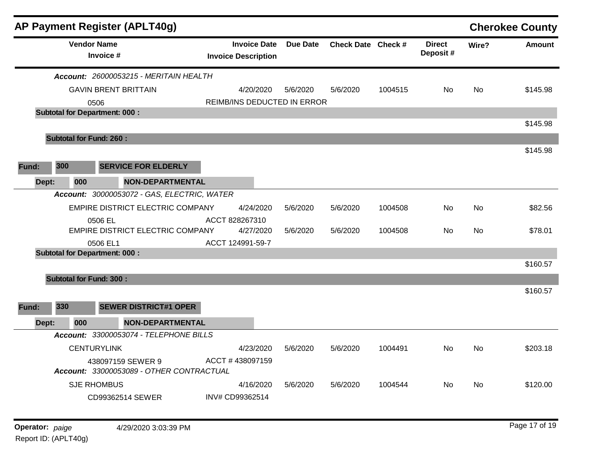|       |     |                    | AP Payment Register (APLT40g)                                 |                                                   |          |                    |         |                           |           | <b>Cherokee County</b> |
|-------|-----|--------------------|---------------------------------------------------------------|---------------------------------------------------|----------|--------------------|---------|---------------------------|-----------|------------------------|
|       |     | <b>Vendor Name</b> | Invoice #                                                     | <b>Invoice Date</b><br><b>Invoice Description</b> | Due Date | Check Date Check # |         | <b>Direct</b><br>Deposit# | Wire?     | <b>Amount</b>          |
|       |     |                    | <b>Account: 26000053215 - MERITAIN HEALTH</b>                 |                                                   |          |                    |         |                           |           |                        |
|       |     |                    | <b>GAVIN BRENT BRITTAIN</b>                                   | 4/20/2020                                         | 5/6/2020 | 5/6/2020           | 1004515 | No                        | No.       | \$145.98               |
|       |     | 0506               |                                                               | REIMB/INS DEDUCTED IN ERROR                       |          |                    |         |                           |           |                        |
|       |     |                    | <b>Subtotal for Department: 000:</b>                          |                                                   |          |                    |         |                           |           |                        |
|       |     |                    |                                                               |                                                   |          |                    |         |                           |           | \$145.98               |
|       |     |                    | <b>Subtotal for Fund: 260:</b>                                |                                                   |          |                    |         |                           |           |                        |
|       |     |                    |                                                               |                                                   |          |                    |         |                           |           | \$145.98               |
| Fund: | 300 |                    | <b>SERVICE FOR ELDERLY</b>                                    |                                                   |          |                    |         |                           |           |                        |
| Dept: |     | 000                | <b>NON-DEPARTMENTAL</b>                                       |                                                   |          |                    |         |                           |           |                        |
|       |     |                    | Account: 30000053072 - GAS, ELECTRIC, WATER                   |                                                   |          |                    |         |                           |           |                        |
|       |     |                    | EMPIRE DISTRICT ELECTRIC COMPANY                              | 4/24/2020                                         | 5/6/2020 | 5/6/2020           | 1004508 | No                        | No.       | \$82.56                |
|       |     |                    | 0506 EL                                                       | ACCT 828267310                                    |          |                    |         |                           |           |                        |
|       |     |                    | <b>EMPIRE DISTRICT ELECTRIC COMPANY</b>                       | 4/27/2020                                         | 5/6/2020 | 5/6/2020           | 1004508 | No                        | No        | \$78.01                |
|       |     |                    | 0506 EL1                                                      | ACCT 124991-59-7                                  |          |                    |         |                           |           |                        |
|       |     |                    | <b>Subtotal for Department: 000:</b>                          |                                                   |          |                    |         |                           |           |                        |
|       |     |                    |                                                               |                                                   |          |                    |         |                           |           | \$160.57               |
|       |     |                    | <b>Subtotal for Fund: 300:</b>                                |                                                   |          |                    |         |                           |           |                        |
|       |     |                    |                                                               |                                                   |          |                    |         |                           |           | \$160.57               |
| Fund: | 330 |                    | <b>SEWER DISTRICT#1 OPER</b>                                  |                                                   |          |                    |         |                           |           |                        |
| Dept: |     | 000                | <b>NON-DEPARTMENTAL</b>                                       |                                                   |          |                    |         |                           |           |                        |
|       |     |                    | Account: 33000053074 - TELEPHONE BILLS                        |                                                   |          |                    |         |                           |           |                        |
|       |     |                    | <b>CENTURYLINK</b>                                            | 4/23/2020                                         | 5/6/2020 | 5/6/2020           | 1004491 | No.                       | No.       | \$203.18               |
|       |     |                    | 438097159 SEWER 9<br>Account: 33000053089 - OTHER CONTRACTUAL | ACCT #438097159                                   |          |                    |         |                           |           |                        |
|       |     |                    | <b>SJE RHOMBUS</b>                                            | 4/16/2020                                         | 5/6/2020 | 5/6/2020           | 1004544 | No                        | <b>No</b> | \$120.00               |
|       |     |                    | CD99362514 SEWER                                              | INV# CD99362514                                   |          |                    |         |                           |           |                        |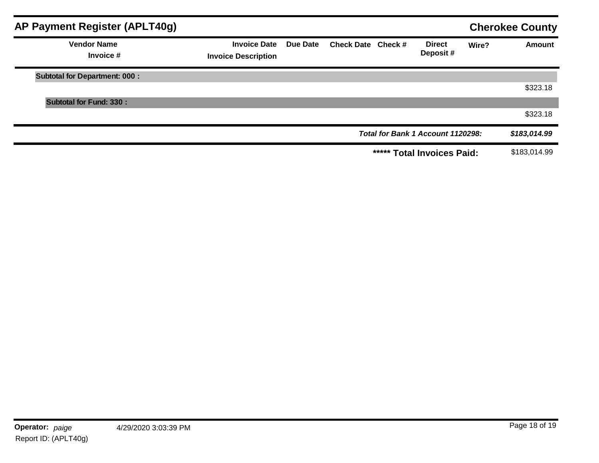| AP Payment Register (APLT40g)        |                                                   |          |                    |                                   |       | <b>Cherokee County</b> |
|--------------------------------------|---------------------------------------------------|----------|--------------------|-----------------------------------|-------|------------------------|
| <b>Vendor Name</b><br>Invoice #      | <b>Invoice Date</b><br><b>Invoice Description</b> | Due Date | Check Date Check # | <b>Direct</b><br>Deposit#         | Wire? | <b>Amount</b>          |
| <b>Subtotal for Department: 000:</b> |                                                   |          |                    |                                   |       |                        |
|                                      |                                                   |          |                    |                                   |       | \$323.18               |
| <b>Subtotal for Fund: 330:</b>       |                                                   |          |                    |                                   |       |                        |
|                                      |                                                   |          |                    |                                   |       | \$323.18               |
|                                      |                                                   |          |                    | Total for Bank 1 Account 1120298: |       | \$183,014.99           |
|                                      |                                                   |          |                    | ***** Total Invoices Paid:        |       | \$183,014.99           |